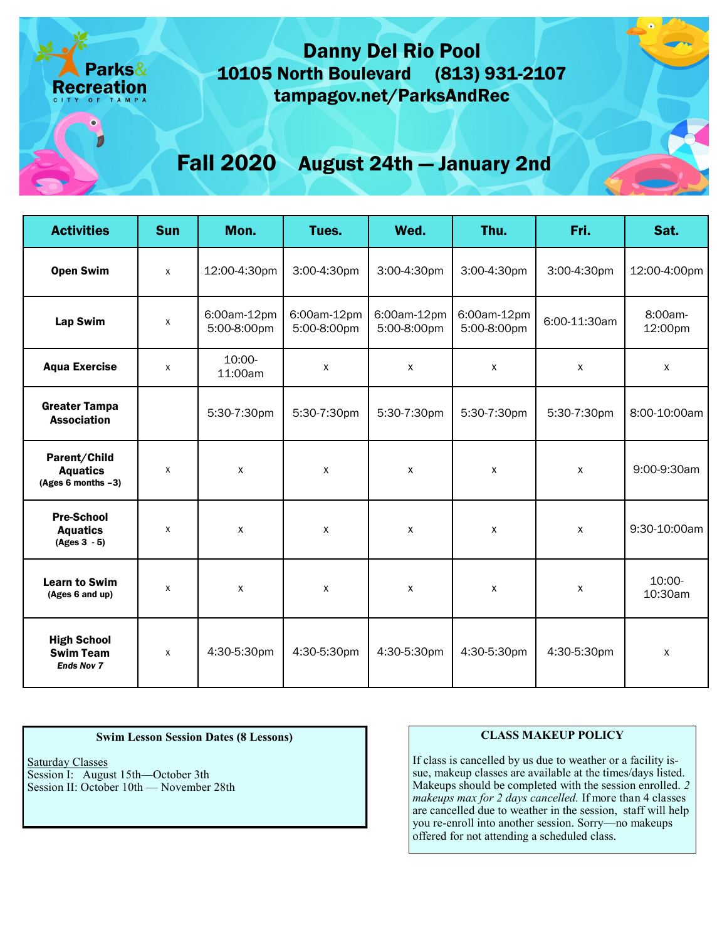## Danny Del Rio Pool 10105 North Boulevard (813) 931-2107 tampagov.net/ParksAndRec

# Fall 2020 August 24th — January 2nd

| <b>Activities</b>                                           | <b>Sun</b>   | Mon.                       | Tues.                      | Wed.                       | Thu.                       | Fri.         | Sat.               |
|-------------------------------------------------------------|--------------|----------------------------|----------------------------|----------------------------|----------------------------|--------------|--------------------|
| <b>Open Swim</b>                                            | $\mathsf{x}$ | 12:00-4:30pm               | 3:00-4:30pm                | 3:00-4:30pm                | 3:00-4:30pm                | 3:00-4:30pm  | 12:00-4:00pm       |
| <b>Lap Swim</b>                                             | $\mathsf{x}$ | 6:00am-12pm<br>5:00-8:00pm | 6:00am-12pm<br>5:00-8:00pm | 6:00am-12pm<br>5:00-8:00pm | 6:00am-12pm<br>5:00-8:00pm | 6:00-11:30am | 8:00am-<br>12:00pm |
| <b>Aqua Exercise</b>                                        | X            | 10:00-<br>11:00am          | X                          | X                          | X                          | X            | $\mathsf{X}$       |
| <b>Greater Tampa</b><br><b>Association</b>                  |              | 5:30-7:30pm                | 5:30-7:30pm                | 5:30-7:30pm                | 5:30-7:30pm                | 5:30-7:30pm  | 8:00-10:00am       |
| Parent/Child<br><b>Aquatics</b><br>(Ages 6 months $-3$ )    | X            | $\pmb{\chi}$               | X                          | X                          | X                          | $\pmb{\chi}$ | 9:00-9:30am        |
| <b>Pre-School</b><br><b>Aquatics</b><br>$(Ages 3 - 5)$      | X            | $\mathsf{X}$               | X                          | X                          | X                          | X            | 9:30-10:00am       |
| <b>Learn to Swim</b><br>(Ages 6 and up)                     | X            | X                          | X                          | X                          | $\mathsf{x}$               | $\mathsf{x}$ | 10:00-<br>10:30am  |
| <b>High School</b><br><b>Swim Team</b><br><b>Ends Nov 7</b> | $\mathsf{x}$ | 4:30-5:30pm                | 4:30-5:30pm                | 4:30-5:30pm                | 4:30-5:30pm                | 4:30-5:30pm  | $\mathsf{x}$       |

#### **Swim Lesson Session Dates (8 Lessons)**

Saturday Classes Session I: August 15th—October 3th Session II: October 10th — November 28th

#### **CLASS MAKEUP POLICY**

If class is cancelled by us due to weather or a facility issue, makeup classes are available at the times/days listed. Makeups should be completed with the session enrolled. *2 makeups max for 2 days cancelled.* If more than 4 classes are cancelled due to weather in the session, staff will help you re-enroll into another session. Sorry—no makeups offered for not attending a scheduled class.